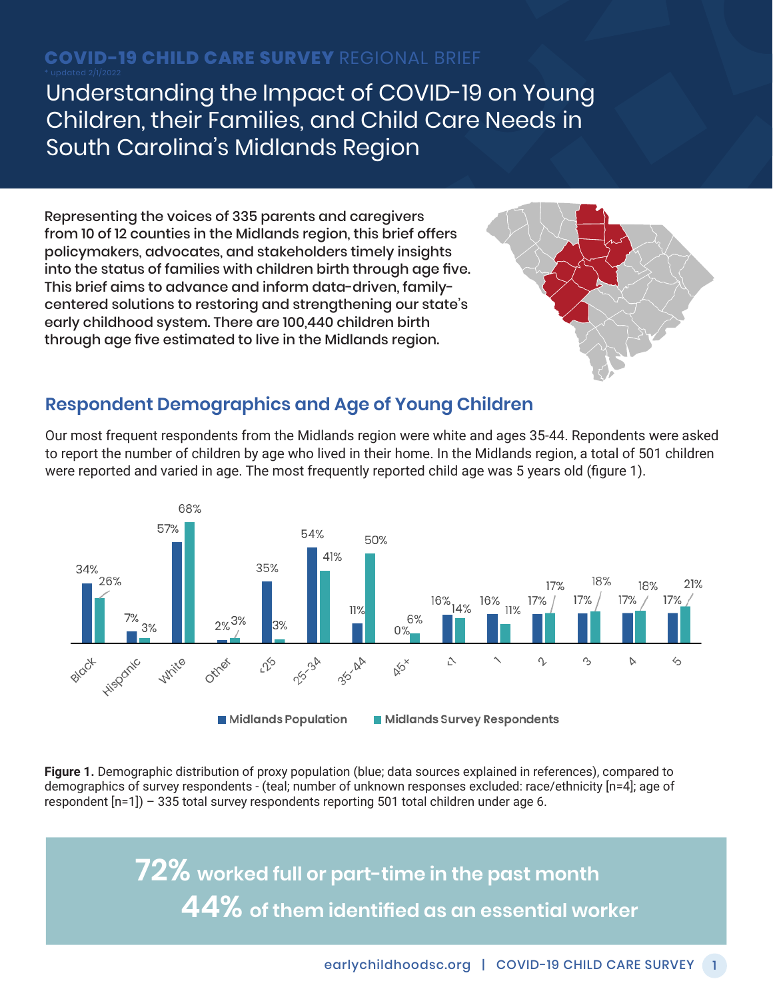# **COVID-19 CHILD CARE SURVEY** REGIONAL BRIEF

Understanding the Impact of COVID-19 on Young Children, their Families, and Child Care Needs in South Carolina's Midlands Region

Representing the voices of 335 parents and caregivers from 10 of 12 counties in the Midlands region, this brief offers policymakers, advocates, and stakeholders timely insights into the status of families with children birth through age five. This brief aims to advance and inform data-driven, familycentered solutions to restoring and strengthening our state's early childhood system. There are 100,440 children birth through age five estimated to live in the Midlands region.



#### **Respondent Demographics and Age of Young Children**

Our most frequent respondents from the Midlands region were white and ages 35-44. Repondents were asked to report the number of children by age who lived in their home. In the Midlands region, a total of 501 children were reported and varied in age. The most frequently reported child age was 5 years old (figure 1).



**Figure 1.** Demographic distribution of proxy population (blue; data sources explained in references), compared to demographics of survey respondents - (teal; number of unknown responses excluded: race/ethnicity [n=4]; age of respondent [n=1]) – 335 total survey respondents reporting 501 total children under age 6.

> **72% worked full or part-time in the past month 44% of them identified as an essential worker**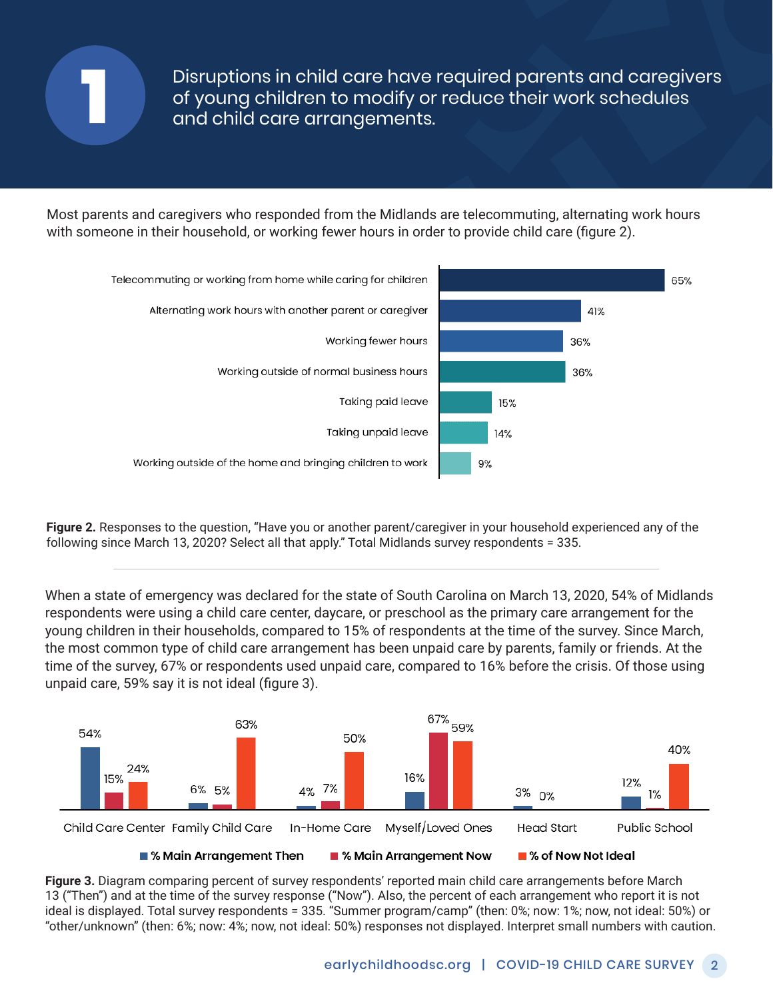

Disruptions in child care have required parents and caregivers of young children to modify or reduce their work schedules **1** and child care arrangements.

Most parents and caregivers who responded from the Midlands are telecommuting, alternating work hours with someone in their household, or working fewer hours in order to provide child care (figure 2).



**Figure 2.** Responses to the question, "Have you or another parent/caregiver in your household experienced any of the following since March 13, 2020? Select all that apply." Total Midlands survey respondents = 335.

When a state of emergency was declared for the state of South Carolina on March 13, 2020, 54% of Midlands respondents were using a child care center, daycare, or preschool as the primary care arrangement for the young children in their households, compared to 15% of respondents at the time of the survey. Since March, the most common type of child care arrangement has been unpaid care by parents, family or friends. At the time of the survey, 67% or respondents used unpaid care, compared to 16% before the crisis. Of those using unpaid care, 59% say it is not ideal (figure 3).



**Figure 3.** Diagram comparing percent of survey respondents' reported main child care arrangements before March 13 ("Then") and at the time of the survey response ("Now"). Also, the percent of each arrangement who report it is not ideal is displayed. Total survey respondents = 335. "Summer program/camp" (then: 0%; now: 1%; now, not ideal: 50%) or "other/unknown" (then: 6%; now: 4%; now, not ideal: 50%) responses not displayed. Interpret small numbers with caution.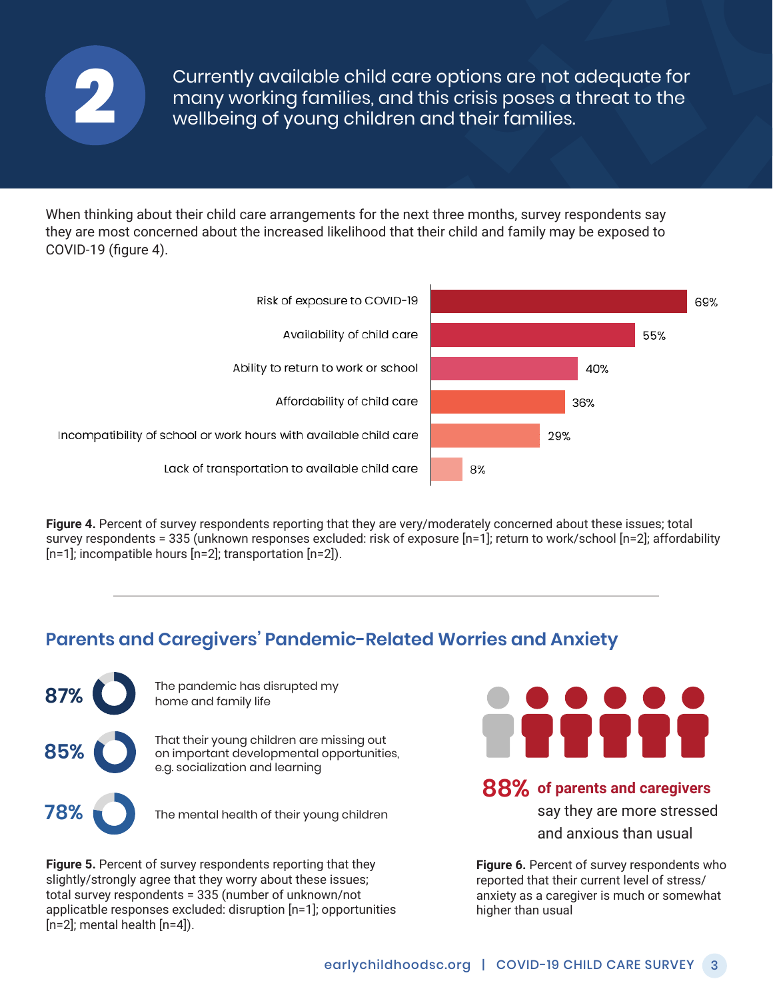

Currently available child care options are not adequate for many working families, and this crisis poses a threat to the **2** wellbeing of young children and their families.

When thinking about their child care arrangements for the next three months, survey respondents say they are most concerned about the increased likelihood that their child and family may be exposed to COVID-19 (figure 4).



**Figure 4.** Percent of survey respondents reporting that they are very/moderately concerned about these issues; total survey respondents = 335 (unknown responses excluded: risk of exposure [n=1]; return to work/school [n=2]; affordability [n=1]; incompatible hours [n=2]; transportation [n=2]).

### **Parents and Caregivers' Pandemic-Related Worries and Anxiety**



**87%** The pandemic has disrupted my home and family life

**85%** That their young children are missing out<br>
on important developmental opportunities, e.g. socialization and learning

**78%** The mental health of their young children

**Figure 5.** Percent of survey respondents reporting that they slightly/strongly agree that they worry about these issues; total survey respondents = 335 (number of unknown/not applicatble responses excluded: disruption [n=1]; opportunities  $[n=2]$ ; mental health  $[n=4]$ ).



#### **88% of parents and caregivers**

say they are more stressed and anxious than usual

**Figure 6.** Percent of survey respondents who reported that their current level of stress/ anxiety as a caregiver is much or somewhat higher than usual